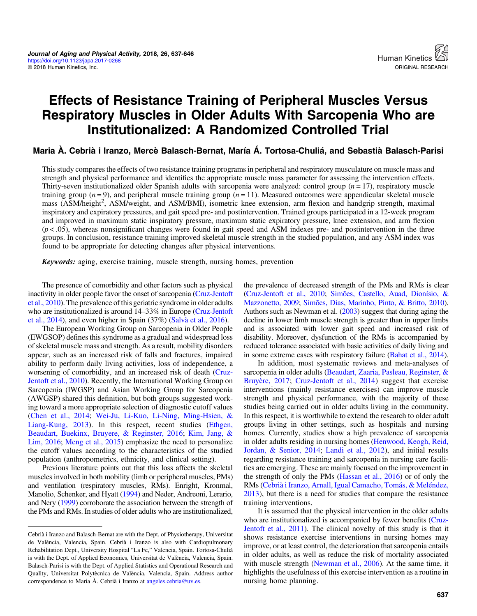# Effects of Resistance Training of Peripheral Muscles Versus Respiratory Muscles in Older Adults With Sarcopenia Who are Institutionalized: A Randomized Controlled Trial

Maria À. Cebrià i Iranzo, Mercè Balasch-Bernat, María Á. Tortosa-Chuliá, and Sebastià Balasch-Parisi

This study compares the effects of two resistance training programs in peripheral and respiratory musculature on muscle mass and strength and physical performance and identifies the appropriate muscle mass parameter for assessing the intervention effects. Thirty-seven institutionalized older Spanish adults with sarcopenia were analyzed: control group  $(n = 17)$ , respiratory muscle training group  $(n = 9)$ , and peripheral muscle training group  $(n = 11)$ . Measured outcomes were appendicular skeletal muscle mass (ASM/height<sup>2</sup>, ASM/weight, and ASM/BMI), isometric knee extension, arm flexion and handgrip strength, maximal inspiratory and expiratory pressures, and gait speed pre- and postintervention. Trained groups participated in a 12-week program and improved in maximum static inspiratory pressure, maximum static expiratory pressure, knee extension, and arm flexion  $(p < .05)$ , whereas nonsignificant changes were found in gait speed and ASM indexes pre- and postintervention in the three groups. In conclusion, resistance training improved skeletal muscle strength in the studied population, and any ASM index was found to be appropriate for detecting changes after physical interventions.

Keywords: aging, exercise training, muscle strength, nursing homes, prevention

The presence of comorbidity and other factors such as physical inactivity in older people favor the onset of sarcopenia ([Cruz-Jentoft](#page-8-0) [et al., 2010\)](#page-8-0). The prevalence of this geriatric syndrome in older adults who are institutionalized is around 14–33% in Europe ([Cruz-Jentoft](#page-8-0) [et al., 2014\)](#page-8-0), and even higher in Spain (37%) [\(Salvà et al., 2016](#page-9-0)).

The European Working Group on Sarcopenia in Older People (EWGSOP) defines this syndrome as a gradual and widespread loss of skeletal muscle mass and strength. As a result, mobility disorders appear, such as an increased risk of falls and fractures, impaired ability to perform daily living activities, loss of independence, a worsening of comorbidity, and an increased risk of death [\(Cruz-](#page-8-0)[Jentoft et al., 2010\)](#page-8-0). Recently, the International Working Group on Sarcopenia (IWGSP) and Asian Working Group for Sarcopenia (AWGSP) shared this definition, but both groups suggested working toward a more appropriate selection of diagnostic cutoff values [\(Chen et al., 2014](#page-8-0); [Wei-Ju, Li-Kuo, Li-Ning, Ming-Hsien, &](#page-9-0) [Liang-Kung, 2013\)](#page-9-0). In this respect, recent studies [\(Ethgen,](#page-8-0) [Beaudart, Buekinx, Bruyere, & Reginster, 2016;](#page-8-0) [Kim, Jang, &](#page-9-0) [Lim, 2016](#page-9-0); [Meng et al., 2015](#page-9-0)) emphasize the need to personalize the cutoff values according to the characteristics of the studied population (anthropometrics, ethnicity, and clinical setting).

Previous literature points out that this loss affects the skeletal muscles involved in both mobility (limb or peripheral muscles, PMs) and ventilation (respiratory muscles, RMs). Enright, Kronmal, Manolio, Schenker, and Hyatt [\(1994\)](#page-8-0) and Neder, Andreoni, Lerario, and Nery [\(1999\)](#page-9-0) corroborate the association between the strength of the PMs and RMs. In studies of older adults who are institutionalized, the prevalence of decreased strength of the PMs and RMs is clear [\(Cruz-Jentoft et al., 2010;](#page-8-0) [Simões, Castello, Auad, Dionísio, &](#page-9-0) [Mazzonetto, 2009;](#page-9-0) [Simões, Dias, Marinho, Pinto, & Britto, 2010](#page-9-0)). Authors such as Newman et al. [\(2003\)](#page-9-0) suggest that during aging the decline in lower limb muscle strength is greater than in upper limbs and is associated with lower gait speed and increased risk of disability. Moreover, dysfunction of the RMs is accompanied by reduced tolerance associated with basic activities of daily living and in some extreme cases with respiratory failure [\(Bahat et al., 2014](#page-8-0)).

In addition, most systematic reviews and meta-analyses of sarcopenia in older adults ([Beaudart, Zaaria, Pasleau, Reginster, &](#page-8-0) [Bruyère, 2017](#page-8-0); [Cruz-Jentoft et al., 2014\)](#page-8-0) suggest that exercise interventions (mainly resistance exercises) can improve muscle strength and physical performance, with the majority of these studies being carried out in older adults living in the community. In this respect, it is worthwhile to extend the research to older adult groups living in other settings, such as hospitals and nursing homes. Currently, studies show a high prevalence of sarcopenia in older adults residing in nursing homes ([Henwood, Keogh, Reid,](#page-8-0) [Jordan, & Senior, 2014](#page-8-0); [Landi et al., 2012\)](#page-9-0), and initial results regarding resistance training and sarcopenia in nursing care facilities are emerging. These are mainly focused on the improvement in the strength of only the PMs ([Hassan et al., 2016\)](#page-8-0) or of only the RMs [\(Cebrià i Iranzo, Arnall, Igual Camacho, Tomás, & Meléndez,](#page-8-0) [2013](#page-8-0)), but there is a need for studies that compare the resistance training interventions.

It is assumed that the physical intervention in the older adults who are institutionalized is accompanied by fewer benefits [\(Cruz-](#page-8-0)[Jentoft et al., 2011\)](#page-8-0). The clinical novelty of this study is that it shows resistance exercise interventions in nursing homes may improve, or at least control, the deterioration that sarcopenia entails in older adults, as well as reduce the risk of mortality associated with muscle strength ([Newman et al., 2006](#page-9-0)). At the same time, it highlights the usefulness of this exercise intervention as a routine in nursing home planning.

Cebrià i Iranzo and Balasch-Bernat are with the Dept. of Physiotherapy, Universitat de València, Valencia, Spain. Cebrià i Iranzo is also with Cardiopulmonary Rehabilitation Dept., University Hospital "La Fe," Valencia, Spain. Tortosa-Chuliá is with the Dept. of Applied Economics, Universitat de València, Valencia, Spain. Balasch-Parisi is with the Dept. of Applied Statistics and Operational Research and Quality, Universitat Polytècnica de València, Valencia, Spain. Address author correspondence to Maria À. Cebrià i Iranzo at [angeles.cebria@uv.es.](mailto:angeles.cebria@uv.es)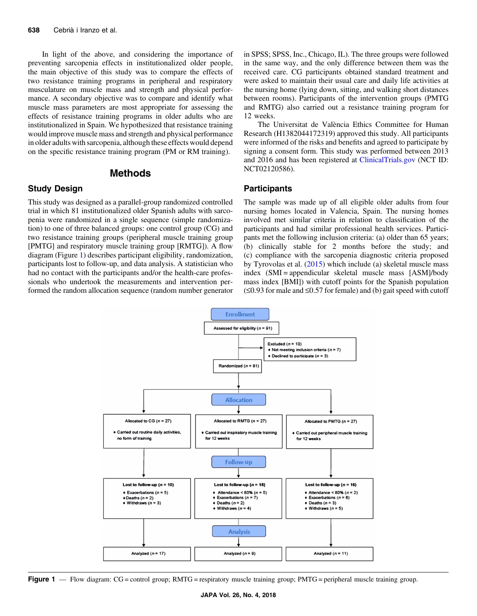<span id="page-1-0"></span>In light of the above, and considering the importance of preventing sarcopenia effects in institutionalized older people, the main objective of this study was to compare the effects of two resistance training programs in peripheral and respiratory musculature on muscle mass and strength and physical performance. A secondary objective was to compare and identify what muscle mass parameters are most appropriate for assessing the effects of resistance training programs in older adults who are institutionalized in Spain. We hypothesized that resistance training would improve muscle mass and strength and physical performance in older adults with sarcopenia, although these effects would depend on the specific resistance training program (PM or RM training).

# Methods

# Study Design

This study was designed as a parallel-group randomized controlled trial in which 81 institutionalized older Spanish adults with sarcopenia were randomized in a single sequence (simple randomization) to one of three balanced groups: one control group (CG) and two resistance training groups (peripheral muscle training group [PMTG] and respiratory muscle training group [RMTG]). A flow diagram (Figure 1) describes participant eligibility, randomization, participants lost to follow-up, and data analysis. A statistician who had no contact with the participants and/or the health-care professionals who undertook the measurements and intervention performed the random allocation sequence (random number generator in SPSS; SPSS, Inc., Chicago, IL). The three groups were followed in the same way, and the only difference between them was the received care. CG participants obtained standard treatment and were asked to maintain their usual care and daily life activities at the nursing home (lying down, sitting, and walking short distances between rooms). Participants of the intervention groups (PMTG and RMTG) also carried out a resistance training program for 12 weeks.

The Universitat de València Ethics Committee for Human Research (H1382044172319) approved this study. All participants were informed of the risks and benefits and agreed to participate by signing a consent form. This study was performed between 2013 and 2016 and has been registered at <ClinicalTrials.gov> (NCT ID: NCT02120586).

#### **Participants**

The sample was made up of all eligible older adults from four nursing homes located in Valencia, Spain. The nursing homes involved met similar criteria in relation to classification of the participants and had similar professional health services. Participants met the following inclusion criteria: (a) older than 65 years; (b) clinically stable for 2 months before the study; and (c) compliance with the sarcopenia diagnostic criteria proposed by Tyrovolas et al. [\(2015](#page-9-0)) which include (a) skeletal muscle mass index (SMI = appendicular skeletal muscle mass [ASM]/body mass index [BMI]) with cutoff points for the Spanish population  $(\leq 0.93$  for male and  $\leq 0.57$  for female) and (b) gait speed with cutoff



Figure 1 — Flow diagram: CG = control group; RMTG = respiratory muscle training group; PMTG = peripheral muscle training group.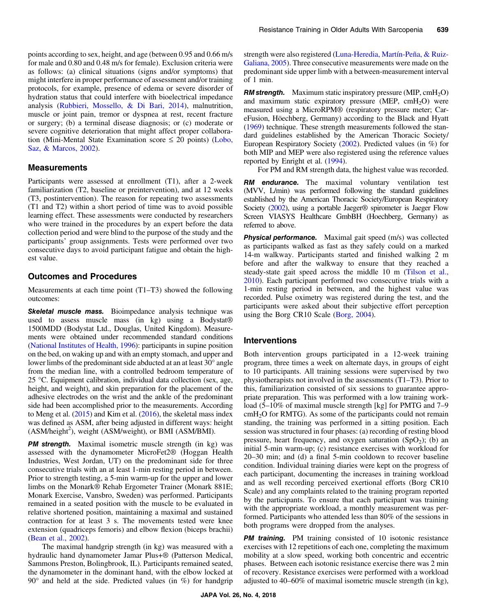points according to sex, height, and age (between 0.95 and 0.66 m/s for male and 0.80 and 0.48 m/s for female). Exclusion criteria were as follows: (a) clinical situations (signs and/or symptoms) that might interfere in proper performance of assessment and/or training protocols, for example, presence of edema or severe disorder of hydration status that could interfere with bioelectrical impedance analysis [\(Rubbieri, Mossello, & Di Bari, 2014\)](#page-9-0), malnutrition, muscle or joint pain, tremor or dyspnea at rest, recent fracture or surgery; (b) a terminal disease diagnosis; or (c) moderate or severe cognitive deterioration that might affect proper collaboration (Mini-Mental State Examination score  $\leq$  20 points) [\(Lobo,](#page-9-0) [Saz, & Marcos, 2002\)](#page-9-0).

#### **Measurements**

Participants were assessed at enrollment (T1), after a 2-week familiarization (T2, baseline or preintervention), and at 12 weeks (T3, postintervention). The reason for repeating two assessments (T1 and T2) within a short period of time was to avoid possible learning effect. These assessments were conducted by researchers who were trained in the procedures by an expert before the data collection period and were blind to the purpose of the study and the participants' group assignments. Tests were performed over two consecutive days to avoid participant fatigue and obtain the highest value.

#### Outcomes and Procedures

Measurements at each time point (T1–T3) showed the following outcomes:

Skeletal muscle mass. Bioimpedance analysis technique was used to assess muscle mass (in kg) using a Bodystat® 1500MDD (Bodystat Ltd., Douglas, United Kingdom). Measurements were obtained under recommended standard conditions [\(National Institutes of Health, 1996\)](#page-9-0): participants in supine position on the bed, on waking up and with an empty stomach, and upper and lower limbs of the predominant side abducted at an at least 30° angle from the median line, with a controlled bedroom temperature of 25 °C. Equipment calibration, individual data collection (sex, age, height, and weight), and skin preparation for the placement of the adhesive electrodes on the wrist and the ankle of the predominant side had been accomplished prior to the measurements. According to Meng et al. ([2015](#page-9-0)) and Kim et al. [\(2016](#page-9-0)), the skeletal mass index was defined as ASM, after being adjusted in different ways: height (ASM/height<sup>2</sup>), weight (ASM/weight), or BMI (ASM/BMI).

PM strength. Maximal isometric muscle strength (in kg) was assessed with the dynamometer MicroFet2® (Hoggan Health Industries, West Jordan, UT) on the predominant side for three consecutive trials with an at least 1-min resting period in between. Prior to strength testing, a 5-min warm-up for the upper and lower limbs on the Monark® Rehab Ergometer Trainer (Monark 881E; Monark Exercise, Vansbro, Sweden) was performed. Participants remained in a seated position with the muscle to be evaluated in relative shortened position, maintaining a maximal and sustained contraction for at least 3 s. The movements tested were knee extension (quadriceps femoris) and elbow flexion (biceps brachii) [\(Bean et al., 2002\)](#page-8-0).

The maximal handgrip strength (in kg) was measured with a hydraulic hand dynamometer Jamar Plus+® (Patterson Medical, Sammons Preston, Bolingbrook, IL). Participants remained seated, the dynamometer in the dominant hand, with the elbow locked at  $90^\circ$  and held at the side. Predicted values (in %) for handgrip strength were also registered (Luna-Heredia, Martín-Peña, & Ruiz-[Galiana, 2005](#page-9-0)). Three consecutive measurements were made on the predominant side upper limb with a between-measurement interval of 1 min.

**RM strength.** Maximum static inspiratory pressure  $(MIP, cmH<sub>2</sub>O)$ and maximum static expiratory pressure (MEP,  $cmH<sub>2</sub>O$ ) were measured using a MicroRPM® (respiratory pressure meter; CareFusion, Höechberg, Germany) according to the Black and Hyatt [\(1969\)](#page-8-0) technique. These strength measurements followed the standard guidelines established by the American Thoracic Society/ European Respiratory Society ([2002](#page-8-0)). Predicted values (in %) for both MIP and MEP were also registered using the reference values reported by Enright et al. [\(1994\)](#page-8-0).

For PM and RM strength data, the highest value was recorded.

**RM** endurance. The maximal voluntary ventilation test (MVV, L/min) was performed following the standard guidelines established by the American Thoracic Society/European Respiratory Society [\(2002](#page-8-0)), using a portable Jaeger® spirometer is Jaeger Flow Screen VIASYS Healthcare GmbBH (Hoechberg, Germany) as referred to above.

**Physical performance.** Maximal gait speed (m/s) was collected as participants walked as fast as they safely could on a marked 14-m walkway. Participants started and finished walking 2 m before and after the walkway to ensure that they reached a steady-state gait speed across the middle 10 m ([Tilson et al.,](#page-9-0) [2010](#page-9-0)). Each participant performed two consecutive trials with a 1-min resting period in between, and the highest value was recorded. Pulse oximetry was registered during the test, and the participants were asked about their subjective effort perception using the Borg CR10 Scale [\(Borg, 2004\)](#page-8-0).

#### Interventions

Both intervention groups participated in a 12-week training program, three times a week on alternate days, in groups of eight to 10 participants. All training sessions were supervised by two physiotherapists not involved in the assessments (T1–T3). Prior to this, familiarization consisted of six sessions to guarantee appropriate preparation. This was performed with a low training workload (5–10% of maximal muscle strength [kg] for PMTG and 7–9  $cmH<sub>2</sub>O$  for RMTG). As some of the participants could not remain standing, the training was performed in a sitting position. Each session was structured in four phases: (a) recording of resting blood pressure, heart frequency, and oxygen saturation  $(SpO<sub>2</sub>)$ ; (b) an initial 5-min warm-up; (c) resistance exercises with workload for 20–30 min; and (d) a final 5-min cooldown to recover baseline condition. Individual training diaries were kept on the progress of each participant, documenting the increases in training workload and as well recording perceived exertional efforts (Borg CR10 Scale) and any complaints related to the training program reported by the participants. To ensure that each participant was training with the appropriate workload, a monthly measurement was performed. Participants who attended less than 80% of the sessions in both programs were dropped from the analyses.

**PM training.** PM training consisted of 10 isotonic resistance exercises with 12 repetitions of each one, completing the maximum mobility at a slow speed, working both concentric and eccentric phases. Between each isotonic resistance exercise there was 2 min of recovery. Resistance exercises were performed with a workload adjusted to 40–60% of maximal isometric muscle strength (in kg),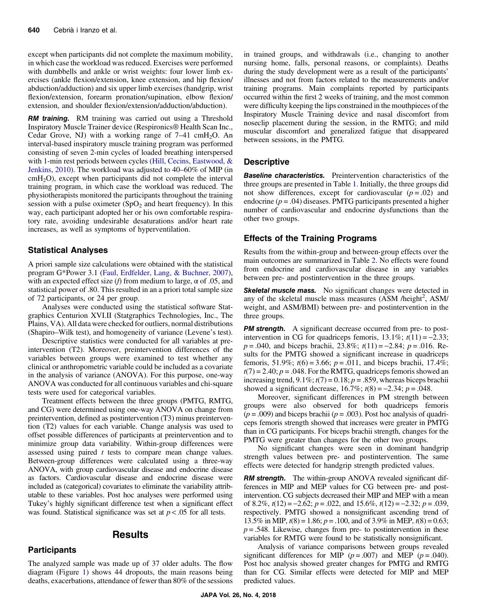except when participants did not complete the maximum mobility, in which case the workload was reduced. Exercises were performed with dumbbells and ankle or wrist weights: four lower limb exercises (ankle flexion/extension, knee extension, and hip flexion/ abduction/adduction) and six upper limb exercises (handgrip, wrist flexion/extension, forearm pronation/supination, elbow flexion/ extension, and shoulder flexion/extension/adduction/abduction).

**RM training.** RM training was carried out using a Threshold Inspiratory Muscle Trainer device (Respironics® Health Scan Inc., Cedar Grove, NJ) with a working range of  $7-41$  cmH<sub>2</sub>O. An interval-based inspiratory muscle training program was performed consisting of seven 2-min cycles of loaded breathing interspersed with 1-min rest periods between cycles [\(Hill, Cecins, Eastwood, &](#page-8-0) [Jenkins, 2010\)](#page-8-0). The workload was adjusted to 40–60% of MIP (in  $cmH<sub>2</sub>O$ , except when participants did not complete the interval training program, in which case the workload was reduced. The physiotherapists monitored the participants throughout the training session with a pulse oximeter  $(SpO<sub>2</sub>$  and heart frequency). In this way, each participant adopted her or his own comfortable respiratory rate, avoiding undesirable desaturations and/or heart rate increases, as well as symptoms of hyperventilation.

# Statistical Analyses

A priori sample size calculations were obtained with the statistical program G\*Power 3.1 ([Faul, Erdfelder, Lang, & Buchner, 2007](#page-8-0)), with an expected effect size (f) from medium to large,  $\alpha$  of .05, and statistical power of .80. This resulted in an a priori total sample size of 72 participants, or 24 per group.

Analyses were conducted using the statistical software Statgraphics Centurion XVI.II (Statgraphics Technologies, Inc., The Plains, VA). All data were checked for outliers, normal distributions (Shapiro–Wilk test), and homogeneity of variance (Levene's test).

Descriptive statistics were conducted for all variables at preintervention (T2). Moreover, preintervention differences of the variables between groups were examined to test whether any clinical or anthropometric variable could be included as a covariate in the analysis of variance (ANOVA). For this purpose, one-way ANOVA was conducted for all continuous variables and chi-square tests were used for categorical variables.

Treatment effects between the three groups (PMTG, RMTG, and CG) were determined using one-way ANOVA on change from preintervention, defined as postintervention (T3) minus preintervention (T2) values for each variable. Change analysis was used to offset possible differences of participants at preintervention and to minimize group data variability. Within-group differences were assessed using paired *t* tests to compare mean change values. Between-group differences were calculated using a three-way ANOVA, with group cardiovascular disease and endocrine disease as factors. Cardiovascular disease and endocrine disease were included as (categorical) covariates to eliminate the variability attributable to these variables. Post hoc analyses were performed using Tukey's highly significant difference test when a significant effect was found. Statistical significance was set at  $p < .05$  for all tests.

# Results

#### **Participants**

The analyzed sample was made up of 37 older adults. The flow diagram (Figure [1\)](#page-1-0) shows 44 dropouts, the main reasons being deaths, exacerbations, attendance of fewer than 80% of the sessions in trained groups, and withdrawals (i.e., changing to another nursing home, falls, personal reasons, or complaints). Deaths during the study development were as a result of the participants' illnesses and not from factors related to the measurements and/or training programs. Main complaints reported by participants occurred within the first 2 weeks of training, and the most common were difficulty keeping the lips constrained in the mouthpieces of the Inspiratory Muscle Training device and nasal discomfort from noseclip placement during the session, in the RMTG; and mild muscular discomfort and generalized fatigue that disappeared between sessions, in the PMTG.

# **Descriptive**

Baseline characteristics. Preintervention characteristics of the three groups are presented in Table [1.](#page-4-0) Initially, the three groups did not show differences, except for cardiovascular  $(p = .02)$  and endocrine ( $p = .04$ ) diseases. PMTG participants presented a higher number of cardiovascular and endocrine dysfunctions than the other two groups.

#### Effects of the Training Programs

Results from the within-group and between-group effects over the main outcomes are summarized in Table [2](#page-5-0). No effects were found from endocrine and cardiovascular disease in any variables between pre- and postintervention in the three groups.

Skeletal muscle mass. No significant changes were detected in any of the skeletal muscle mass measures (ASM /height<sup>2</sup>, ASM/ weight, and ASM/BMI) between pre- and postintervention in the three groups.

**PM strength.** A significant decrease occurred from pre- to postintervention in CG for quadriceps femoris,  $13.1\%$ ;  $t(11) = -2.33$ ;  $p = .040$ , and biceps brachii, 23.8%;  $t(11) = -2.84$ ;  $p = .016$ . Results for the PMTG showed a significant increase in quadriceps femoris, 51.9%;  $t(6) = 3.66$ ;  $p = .011$ , and biceps brachii, 17.4%;  $t(7) = 2.40$ ;  $p = .048$ . For the RMTG, quadriceps femoris showed an increasing trend,  $9.1\%$ ;  $t(7) = 0.18$ ;  $p = .859$ , whereas biceps brachii showed a significant decrease,  $16.7\%$ ;  $t(8) = -2.34$ ;  $p = .048$ .

Moreover, significant differences in PM strength between groups were also observed for both quadriceps femoris  $(p = .009)$  and biceps brachii ( $p = .003$ ). Post hoc analysis of quadriceps femoris strength showed that increases were greater in PMTG than in CG participants. For biceps brachii strength, changes for the PMTG were greater than changes for the other two groups.

No significant changes were seen in dominant handgrip strength values between pre- and postintervention. The same effects were detected for handgrip strength predicted values.

**RM strength.** The within-group ANOVA revealed significant differences in MIP and MEP values for CG between pre- and postintervention. CG subjects decreased their MIP and MEP with a mean of 8.2%,  $t(12) = -2.62$ ;  $p = .022$ , and  $15.6\%$ ,  $t(12) = -2.32$ ;  $p = .039$ , respectively. PMTG showed a nonsignificant ascending trend of 13.5% in MIP,  $t(8) = 1.86$ ;  $p = .100$ , and of 3.9% in MEP,  $t(8) = 0.63$ ;  $p = 0.548$ . Likewise, changes from pre- to postintervention in these variables for RMTG were found to be statistically nonsignificant.

Analysis of variance comparisons between groups revealed significant differences for MIP ( $p = .007$ ) and MEP ( $p = .040$ ). Post hoc analysis showed greater changes for PMTG and RMTG than for CG. Similar effects were detected for MIP and MEP predicted values.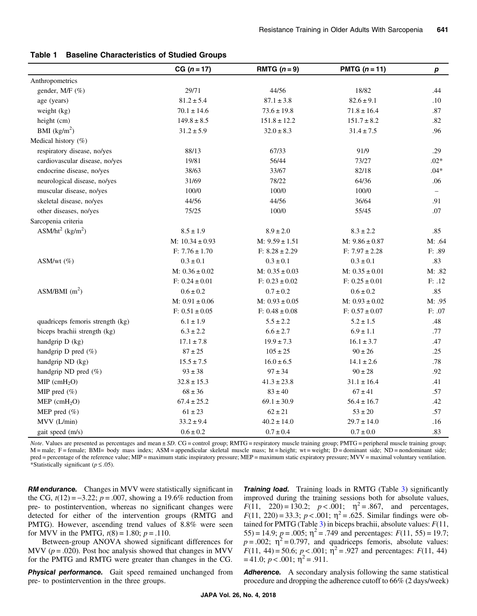|                                          | $CG (n = 17)$       | RMTG $(n=9)$       | PMTG $(n = 11)$    | p       |
|------------------------------------------|---------------------|--------------------|--------------------|---------|
| Anthropometrics                          |                     |                    |                    |         |
| gender, M/F (%)                          | 29/71               | 44/56              | 18/82              | .44     |
| age (years)                              | $81.2 \pm 5.4$      | $87.1 \pm 3.8$     | $82.6 \pm 9.1$     | .10     |
| weight (kg)                              | $70.1 \pm 14.6$     | $73.6 \pm 19.8$    | $71.8 \pm 16.4$    | $.87\,$ |
| height (cm)                              | $149.8 \pm 8.5$     | $151.8 \pm 12.2$   | $151.7 \pm 8.2$    | .82     |
| BMI $(kg/m2)$                            | $31.2 \pm 5.9$      | $32.0 \pm 8.3$     | $31.4 \pm 7.5$     | .96     |
| Medical history (%)                      |                     |                    |                    |         |
| respiratory disease, no/yes              | 88/13               | 67/33              | 91/9               | .29     |
| cardiovascular disease, no/yes           | 19/81               | 56/44              | 73/27              | $.02*$  |
| endocrine disease, no/yes                | 38/63               | 33/67              | 82/18              | $.04*$  |
| neurological disease, no/yes             | 31/69               | 78/22              | 64/36              | .06     |
| muscular disease, no/yes                 | 100/0               | 100/0              | $100/0$            |         |
| skeletal disease, no/yes                 | 44/56               | 44/56              | 36/64              | .91     |
| other diseases, no/yes                   | 75/25               | 100/0              | 55/45              | .07     |
| Sarcopenia criteria                      |                     |                    |                    |         |
| ASM/ht <sup>2</sup> (kg/m <sup>2</sup> ) | $8.5 \pm 1.9$       | $8.9 \pm 2.0$      | $8.3 \pm 2.2$      | .85     |
|                                          | M: $10.34 \pm 0.93$ | $M: 9.59 \pm 1.51$ | $M: 9.86 \pm 0.87$ | M: .64  |
|                                          | $F: 7.76 \pm 1.70$  | $F: 8.28 \pm 2.29$ | $F: 7.97 \pm 2.28$ | F: .89  |
| ASM/wt $(\%)$                            | $0.3 \pm 0.1$       | $0.3 \pm 0.1$      | $0.3 \pm 0.1$      | .83     |
|                                          | $M: 0.36 \pm 0.02$  | M: $0.35 \pm 0.03$ | M: $0.35 \pm 0.01$ | M: .82  |
|                                          | $F: 0.24 \pm 0.01$  | $F: 0.23 \pm 0.02$ | $F: 0.25 \pm 0.01$ | F: .12  |
| ASM/BMI $(m^2)$                          | $0.6 \pm 0.2$       | $0.7 \pm 0.2$      | $0.6 \pm 0.2$      | .85     |
|                                          | $M: 0.91 \pm 0.06$  | $M: 0.93 \pm 0.05$ | $M: 0.93 \pm 0.02$ | M: .95  |
|                                          | $F: 0.51 \pm 0.05$  | $F: 0.48 \pm 0.08$ | $F: 0.57 \pm 0.07$ | F: .07  |
| quadriceps femoris strength (kg)         | $6.1 \pm 1.9$       | $5.5 \pm 2.2$      | $5.2 \pm 1.5$      | .48     |
| biceps brachii strength (kg)             | $6.3 \pm 2.2$       | $6.6 \pm 2.7$      | $6.9 \pm 1.1$      | .77     |
| handgrip D (kg)                          | $17.1 \pm 7.8$      | $19.9 \pm 7.3$     | $16.1 \pm 3.7$     | .47     |
| handgrip $D$ pred $(\%)$                 | $87 \pm 25$         | $105 \pm 25$       | $90 \pm 26$        | .25     |
| handgrip ND (kg)                         | $15.5 \pm 7.5$      | $16.0 \pm 6.5$     | $14.1 \pm 2.6$     | .78     |
| handgrip ND pred (%)                     | $93 \pm 38$         | $97 \pm 34$        | $90 \pm 28$        | .92     |
| $MIP$ (cmH <sub>2</sub> O)               | $32.8 \pm 15.3$     | $41.3 \pm 23.8$    | $31.1 \pm 16.4$    | .41     |
| MIP pred $(\% )$                         | $68 \pm 36$         | $83 \pm 40$        | $67 \pm 41$        | .57     |
| $MEP$ (cmH <sub>2</sub> O)               | $67.4 \pm 25.2$     | $69.1 \pm 30.9$    | $56.4 \pm 16.7$    | .42     |
| MEP pred $(\% )$                         | $61 \pm 23$         | $62 \pm 21$        | $53 \pm 20$        | .57     |
| MVV (L/min)                              | $33.2 \pm 9.4$      | $40.2 \pm 14.0$    | $29.7 \pm 14.0$    | .16     |
| gait speed (m/s)                         | $0.6 \pm 0.2$       | $0.7 \pm 0.4$      | $0.7 \pm 0.0$      | .83     |

#### <span id="page-4-0"></span>Table 1 Baseline Characteristics of Studied Groups

Note. Values are presented as percentages and mean  $\pm SD$ . CG = control group; RMTG = respiratory muscle training group; PMTG = peripheral muscle training group; M = male; F = female; BMI= body mass index; ASM = appendicular skeletal muscle mass; ht = height; wt = weight; D = dominant side; ND = nondominant side; pred = percentage of the reference value; MIP = maximum static inspiratory pressure; MEP = maximum static expiratory pressure; MVV = maximal voluntary ventilation. \*Statistically significant ( $p \leq .05$ ).

**RM endurance.** Changes in MVV were statistically significant in the CG,  $t(12) = -3.22$ ;  $p = .007$ , showing a 19.6% reduction from pre- to postintervention, whereas no significant changes were detected for either of the intervention groups (RMTG and PMTG). However, ascending trend values of 8.8% were seen for MVV in the PMTG,  $t(8) = 1.80$ ;  $p = .110$ .

Between-group ANOVA showed significant differences for MVV ( $p = .020$ ). Post hoc analysis showed that changes in MVV for the PMTG and RMTG were greater than changes in the CG.

**Physical performance.** Gait speed remained unchanged from pre- to postintervention in the three groups.

**Training load.** Training loads in RMTG (Table [3](#page-6-0)) significantly improved during the training sessions both for absolute values,  $F(11, 220) = 130.2; p < .001; \eta^2 = .867, \text{ and } \text{ percentages},$  $F(11, 220) = 33.3$ ;  $p < .001$ ;  $\eta^2 = .625$ . Similar findings were ob-tained for PMTG (Table [3\)](#page-6-0) in biceps brachii, absolute values:  $F(11, 1)$  $(55) = 14.9$ ;  $p = .005$ ;  $\eta^2 = .749$  and percentages:  $F(11, 55) = 19.7$ ;  $p = .002$ ;  $\eta^2 = 0.797$ , and quadriceps femoris, absolute values:  $F(11, 44) = 50.6$ ;  $p < .001$ ;  $\eta^2 = .927$  and percentages:  $F(11, 44)$  $= 41.0; p < .001; \eta^2 = .911.$ 

Adherence. A secondary analysis following the same statistical procedure and dropping the adherence cutoff to 66% (2 days/week)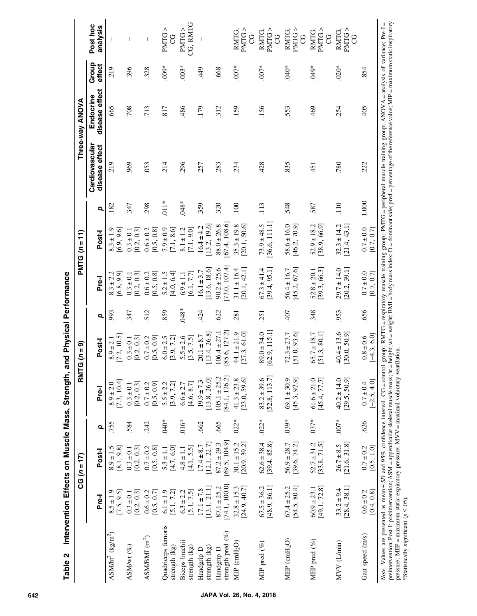<span id="page-5-0"></span>

|                                                                                                                                                                                                                                                                                                                                                                                                                                                                       |                                 | $CG(n = 17)$                     |         | <b>RMT</b>                      | $(n = 9)$                        |         |                                 | $PMTG(n=11)$                    |                  |                                                                                                                                   | Three-way ANOVA             |                 |                             |
|-----------------------------------------------------------------------------------------------------------------------------------------------------------------------------------------------------------------------------------------------------------------------------------------------------------------------------------------------------------------------------------------------------------------------------------------------------------------------|---------------------------------|----------------------------------|---------|---------------------------------|----------------------------------|---------|---------------------------------|---------------------------------|------------------|-----------------------------------------------------------------------------------------------------------------------------------|-----------------------------|-----------------|-----------------------------|
|                                                                                                                                                                                                                                                                                                                                                                                                                                                                       | Pre-I                           | Post-                            | Q       | Pre-I                           | Post-I                           | p       | Pre-I                           | Post-I                          | Q                | Cardiovascular<br>disease effect                                                                                                  | disease effect<br>Endocrine | Group<br>effect | Post hoc<br>analysis        |
| $ASM/ht^2$ (kg/m <sup>2</sup> )                                                                                                                                                                                                                                                                                                                                                                                                                                       | 7.5, 9.5<br>$8.5 \pm 1.9$       | $8.9 \pm 1.5$<br>[8.1, 9.8]      | 755     | [7.3, 10.4]<br>$8.9 \pm 2.0$    | 7.2, 10.5<br>$8.9 \pm 2.1$       | 993     | [6.8, 9.9]<br>$8.3 \pm 2.2$     | [6.9, 9.6]<br>$8.3 \pm 1.9$     | .182             | 219                                                                                                                               | 665                         | 219             |                             |
| ASM/wt (%)                                                                                                                                                                                                                                                                                                                                                                                                                                                            | [0.2, 0.3]<br>$0.3 \pm 0.1$     | [0.2, 0.3]<br>$0.3 \pm 0.1$      | 584     | [0.2, 0.3]<br>$0.3 \pm 0.1$     | $0.3 \pm 0.1$<br>[0.2, 0.3]      | 347     | 0.2, 0.3<br>$0.3 \pm 0.1$       | [0.2, 0.3]<br>$0.3 \pm 0.1$     | 347              | 969                                                                                                                               | 708                         | 396             |                             |
| ASM/BM $(m2)$                                                                                                                                                                                                                                                                                                                                                                                                                                                         | $0.6 \pm 0.2$<br>[0.5, 0.7]     | $0.7 \pm 0.2$<br>[0.5, 0.8]      | 242     | [0.5, 0.9]<br>$0.7 \pm 0.2$     | $0.7 \pm 0.2$<br>[0.5, 0.9]      | 512     | $0.6 \pm 0.2$<br>[0.5, 0.8]     | $0.6 \pm 0.2$<br>[0.5, 0.8]     | 298              | .053                                                                                                                              | 713                         | 328             |                             |
| Quadriceps femoris<br>strength (kg)                                                                                                                                                                                                                                                                                                                                                                                                                                   | [5.1, 7.2]<br>$6.1 \pm 1.9$     | $[4.7, 6.0]$<br>$5.3 \pm 1.1$    | $.040*$ | [3.9, 7.2]<br>$5.5 \pm 2.2$     | $6.0 \pm 2.5$<br>[3.9, 7.2]      | 859     | 4.0, 6.4<br>$5.2 \pm 1.5$       | $7.9 \pm 0.9$<br>[7.1, 8.6]     | $.011*$          | 214                                                                                                                               | 817                         | $009*$          | PMTG><br>g                  |
| Biceps brachii<br>strength (kg)                                                                                                                                                                                                                                                                                                                                                                                                                                       | [5.1, 7.5]<br>$6.3 \pm 2.2$     | [4.1, 5.5]<br>$4.8 \pm 1.1$      | $.016*$ | [4.6, 8.7]<br>$6.6 \pm 2.7$     | $5.5 \pm 2.6$<br>[3.5, 7.5]      | $.048*$ | [6.1, 7.7]<br>$6.9 \pm 1.1$     | [7.1, 9.0]<br>$8.1 \pm 1.2$     | $.048*$          | 296                                                                                                                               | 486                         | $.003*$         | CG, RMTG<br>PMTG>           |
| strength (kg)<br>Handgrip D                                                                                                                                                                                                                                                                                                                                                                                                                                           | [13.1, 21.1]<br>$17.1 \pm 7.8$  | [12.1, 22.7]<br>$17.4 \pm 8.7$   | 662     | [13.8, 26.0]<br>$19.9 \pm 7.3$  | [13.4, 26.8]<br>$20.1 \pm 8.7$   | 424     | [13.6, 18.6]<br>$16.1 \pm 3.7$  | [13.2, 19.6]<br>$16.4 \pm 4.2$  | 359              | 257                                                                                                                               | 179                         | $rac{4}{3}$     |                             |
| strength pred $(%)$<br>Handgrip D                                                                                                                                                                                                                                                                                                                                                                                                                                     | 74.1, 100.0<br>$87.1 \pm 25.2$  | [69.5, 104.9]<br>$87.2 \pm 29.3$ | .665    | $105.1 \pm 25.2$<br>84.1, 126.2 | 85.6, 127.2<br>$106.4 \pm 27.1$  | 622     | 73.0, 107.4<br>$90.2 \pm 25.6$  | 67.4, 108.6<br>$88.0 \pm 26.8$  | 320              | 283                                                                                                                               | 312                         | .668            | $\overline{\phantom{a}}$    |
| $MIP$ (cmH <sub>2</sub> O)                                                                                                                                                                                                                                                                                                                                                                                                                                            | [24.9, 40.7]<br>$32.8 \pm 15.3$ | $30.1 \pm 15.2$<br>[20.9, 39.2]  | $.022*$ | [23.0, 59.6]<br>$41.3 \pm 23.8$ | [27.3, 61.0]<br>$44.1 \pm 21.9$  | 281     | [20.1, 42.1]<br>$31.1 \pm 16.4$ | $35.3 \pm 19.8$<br>[20.1, 50.6] | $\overline{100}$ | .234                                                                                                                              | 159                         | $.007*$         | PMTG><br>RMTG,<br>ပ္ပ       |
| MIP pred $(\%)$                                                                                                                                                                                                                                                                                                                                                                                                                                                       | [48.9, 86.1]<br>$67.5 \pm 36.2$ | $62.6 \pm 38.4$<br>[39.4, 85.8]  | $.022*$ | 52.8, 113.7<br>$83.2 \pm 39.6$  | [62.9, 115.1]<br>$89.0 \pm 34.0$ | 251     | $67.3 \pm 41.4$<br>[39.4, 95.1] | 36.6, 111.1<br>$73.9 \pm 48.5$  | 113              | 428                                                                                                                               | 156                         | $.007*$         | PMTG><br><b>RMTG</b><br>ပ္ပ |
| MEP $(\text{cmH}_2\text{O})$                                                                                                                                                                                                                                                                                                                                                                                                                                          | [54.5, 80.4]<br>$67.4 \pm 25.2$ | [39.6, 74.2]<br>$56.9 \pm 28.7$  | $.039*$ | [45.3, 92.9]<br>$69.1 \pm 30.9$ | [51.0, 93.6]<br>$72.3 \pm 27.7$  | 407     | [45.2, 67.6]<br>$56.4 \pm 16.7$ | $58.6 \pm 16.0$<br>[46.2, 70.9] | 548              | 835                                                                                                                               | 553                         | $.040*$         | PMTG><br>RMTG<br>ပ္ပ        |
| MEP pred $(\%)$                                                                                                                                                                                                                                                                                                                                                                                                                                                       | [49.1, 72.8]<br>$60.9 \pm 23.1$ | $52.7 \pm 31.2$<br>[33.8, 71.5]  | $.037*$ | $61.6 \pm 21.0$<br>[45.4, 77.7] | $65.7 \pm 18.7$<br>[51.3, 80.1]  | 348     | [39.3, 66.3]<br>$52.8 \pm 20.1$ | $52.9 \pm 18.2$<br>[38.9, 66.9] | 587              | $-451$                                                                                                                            | 469                         | *670.           | PMTG<br>RMTG.<br>U          |
| MVV (L/min)                                                                                                                                                                                                                                                                                                                                                                                                                                                           | [28.4, 38.1]<br>$33.2 \pm 9.4$  | [21.6, 31.8]<br>$26.7 \pm 8.5$   | $.007*$ | [29.5, 50.9]<br>$40.2 \pm 14.0$ | $40.4 \pm 13.6$<br>[30.0, 50.9]  | 953     | $29.7 \pm 14.0$<br>[20.2, 39.1] | $32.3 \pm 14.2$<br>[21.4, 43.1] | 110              | 780                                                                                                                               | 254                         | $.020*$         | PMTG><br><b>RMTG</b><br>S   |
| Gait speed (m/s)                                                                                                                                                                                                                                                                                                                                                                                                                                                      | [0.4, 0.8]<br>$0.6 \pm 0.2$     | [0.5, 1.0]<br>$0.7 \pm 0.2$      | 626     | $-2.5, 4.0$<br>$0.7 \pm 0.4$    | $-4.3, 6.0$<br>$0.8 \pm 0.6$     | 656     | $0.7 \pm 0.0$<br>[0.7, 0.7]     | $0.7 \pm 0.0$<br>[0.7, 0.7]     | 1.000            | 222                                                                                                                               | 405                         | 854             |                             |
| preintervention; Post-I: postintervention; ASM = appendicular skeletal muscle mass; ht = height; wt = weight; BMI = body mass index; D = dominant side; pred = percentage of the reference value; MIP = maximum static inspira<br>pressure; MEP = maximum static expiratory pressure; MVV = maximal voluntary ventilation.<br>Note. Values are presented as mean $\pm SD$ and 95% confidence interval. $CG = control$<br>*Statistically significant ( $p \le 0.05$ ). |                                 |                                  |         |                                 |                                  |         |                                 |                                 |                  | group; RMTG = respiratory muscle training group; PMTG = peripheral muscle training group; $ANDVA =$ analysis of variance; Pre-I = |                             |                 |                             |

Table 2 Intervention Effects on Muscle Mass, Strength, and Physical Performance Table 2 Intervention Effects on Muscle Mass, Strength, and Physical Performance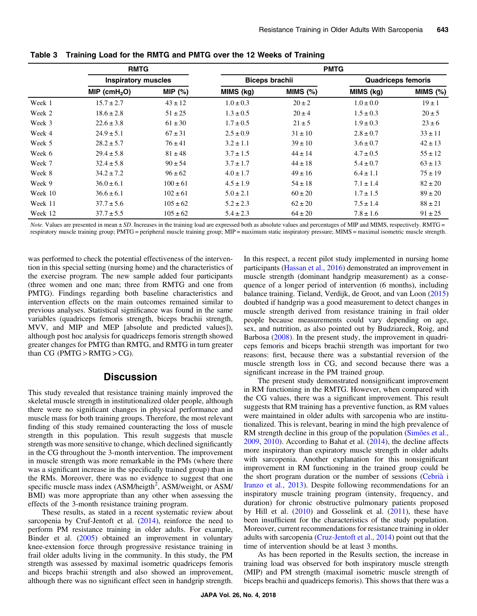|         | <b>RMTG</b>                |              |                       |             | <b>PMTG</b>               |             |
|---------|----------------------------|--------------|-----------------------|-------------|---------------------------|-------------|
|         | <b>Inspiratory muscles</b> |              | <b>Biceps brachii</b> |             | <b>Quadriceps femoris</b> |             |
|         | MIP (cmH <sub>2</sub> O)   | MIP $(%)$    | MIMS (kg)             | MINS (%)    | MIMS (kg)                 | MIMS $(\%)$ |
| Week 1  | $15.7 \pm 2.7$             | $43 \pm 12$  | $1.0 \pm 0.3$         | $20 \pm 2$  | $1.0 \pm 0.0$             | $19 \pm 1$  |
| Week 2  | $18.6 \pm 2.8$             | $51 \pm 25$  | $1.3 \pm 0.5$         | $20 \pm 4$  | $1.5 \pm 0.3$             | $20 \pm 5$  |
| Week 3  | $22.6 \pm 3.8$             | $61 \pm 30$  | $1.7 \pm 0.5$         | $21 \pm 5$  | $1.9 \pm 0.3$             | $23 \pm 6$  |
| Week 4  | $24.9 \pm 5.1$             | $67 \pm 31$  | $2.5 \pm 0.9$         | $31 \pm 10$ | $2.8 \pm 0.7$             | $33 \pm 11$ |
| Week 5  | $28.2 \pm 5.7$             | $76 \pm 41$  | $3.2 \pm 1.1$         | $39 \pm 10$ | $3.6 \pm 0.7$             | $42 \pm 13$ |
| Week 6  | $29.4 \pm 5.8$             | $81 \pm 48$  | $3.7 \pm 1.5$         | $44 \pm 14$ | $4.7 \pm 0.5$             | $55 \pm 12$ |
| Week 7  | $32.4 \pm 5.8$             | $90 \pm 54$  | $3.7 \pm 1.7$         | $44 \pm 18$ | $5.4 \pm 0.7$             | $63 \pm 13$ |
| Week 8  | $34.2 \pm 7.2$             | $96 \pm 62$  | $4.0 \pm 1.7$         | $49 \pm 16$ | $6.4 \pm 1.1$             | $75 \pm 19$ |
| Week 9  | $36.0 \pm 6.1$             | $100 \pm 61$ | $4.5 \pm 1.9$         | $54 \pm 18$ | $7.1 \pm 1.4$             | $82 \pm 20$ |
| Week 10 | $36.6 \pm 6.1$             | $102 \pm 61$ | $5.0 \pm 2.1$         | $60 \pm 20$ | $1.7 \pm 1.5$             | $89 \pm 20$ |
| Week 11 | $37.7 \pm 5.6$             | $105 \pm 62$ | $5.2 \pm 2.3$         | $62 \pm 20$ | $7.5 \pm 1.4$             | $88 \pm 21$ |
| Week 12 | $37.7 \pm 5.5$             | $105 \pm 62$ | $5.4 \pm 2.3$         | $64 \pm 20$ | $7.8 \pm 1.6$             | $91 \pm 25$ |

<span id="page-6-0"></span>Table 3 Training Load for the RMTG and PMTG over the 12 Weeks of Training

Note. Values are presented in mean ± SD. Increases in the training load are expressed both as absolute values and percentages of MIP and MIMS, respectively. RMTG = respiratory muscle training group; PMTG = peripheral muscle training group; MIP = maximum static inspiratory pressure; MIMS = maximal isometric muscle strength.

was performed to check the potential effectiveness of the intervention in this special setting (nursing home) and the characteristics of the exercise program. The new sample added four participants (three women and one man; three from RMTG and one from PMTG). Findings regarding both baseline characteristics and intervention effects on the main outcomes remained similar to previous analyses. Statistical significance was found in the same variables (quadriceps femoris strength, biceps brachii strength, MVV, and MIP and MEP [absolute and predicted values]), although post hoc analysis for quadriceps femoris strength showed greater changes for PMTG than RMTG, and RMTG in turn greater than  $CG$  (PMTG > RMTG > CG).

# **Discussion**

This study revealed that resistance training mainly improved the skeletal muscle strength in institutionalized older people, although there were no significant changes in physical performance and muscle mass for both training groups. Therefore, the most relevant finding of this study remained counteracting the loss of muscle strength in this population. This result suggests that muscle strength was more sensitive to change, which declined significantly in the CG throughout the 3-month intervention. The improvement in muscle strength was more remarkable in the PMs (where there was a significant increase in the specifically trained group) than in the RMs. Moreover, there was no evidence to suggest that one specific muscle mass index (ASM/heigth<sup>2</sup>, ASM/weight, or ASM/ BMI) was more appropriate than any other when assessing the effects of the 3-month resistance training program.

These results, as stated in a recent systematic review about sarcopenia by Cruf-Jentoft et al. [\(2014](#page-8-0)), reinforce the need to perform PM resistance training in older adults. For example, Binder et al. ([2005\)](#page-8-0) obtained an improvement in voluntary knee-extension force through progressive resistance training in frail older adults living in the community. In this study, the PM strength was assessed by maximal isometric quadriceps femoris and biceps brachii strength and also showed an improvement, although there was no significant effect seen in handgrip strength.

In this respect, a recent pilot study implemented in nursing home participants ([Hassan et al., 2016\)](#page-8-0) demonstrated an improvement in muscle strength (dominant handgrip measurement) as a consequence of a longer period of intervention (6 months), including balance training. Tieland, Verdijk, de Groot, and van Loon ([2015\)](#page-9-0) doubted if handgrip was a good measurement to detect changes in muscle strength derived from resistance training in frail older people because measurements could vary depending on age, sex, and nutrition, as also pointed out by Budziareck, Roig, and Barbosa ([2008\)](#page-8-0). In the present study, the improvement in quadriceps femoris and biceps brachii strength was important for two reasons: first, because there was a substantial reversion of the muscle strength loss in CG, and second because there was a significant increase in the PM trained group.

The present study demonstrated nonsignificant improvement in RM functioning in the RMTG. However, when compared with the CG values, there was a significant improvement. This result suggests that RM training has a preventive function, as RM values were maintained in older adults with sarcopenia who are institutionalized. This is relevant, bearing in mind the high prevalence of RM strength decline in this group of the population ([Simões et al.,](#page-9-0) [2009](#page-9-0), [2010](#page-9-0)). According to Bahat et al. ([2014\)](#page-8-0), the decline affects more inspiratory than expiratory muscle strength in older adults with sarcopenia. Another explanation for this nonsignificant improvement in RM functioning in the trained group could be the short program duration or the number of sessions ([Cebrià i](#page-8-0) [Iranzo et al., 2013\)](#page-8-0). Despite following recommendations for an inspiratory muscle training program (intensity, frequency, and duration) for chronic obstructive pulmonary patients proposed by Hill et al. [\(2010](#page-8-0)) and Gosselink et al. ([2011](#page-8-0)), these have been insufficient for the characteristics of the study population. Moreover, current recommendations for resistance training in older adults with sarcopenia [\(Cruz-Jentoft et al., 2014](#page-8-0)) point out that the time of intervention should be at least 3 months.

As has been reported in the Results section, the increase in training load was observed for both inspiratory muscle strength (MIP) and PM strength (maximal isometric muscle strength of biceps brachii and quadriceps femoris). This shows that there was a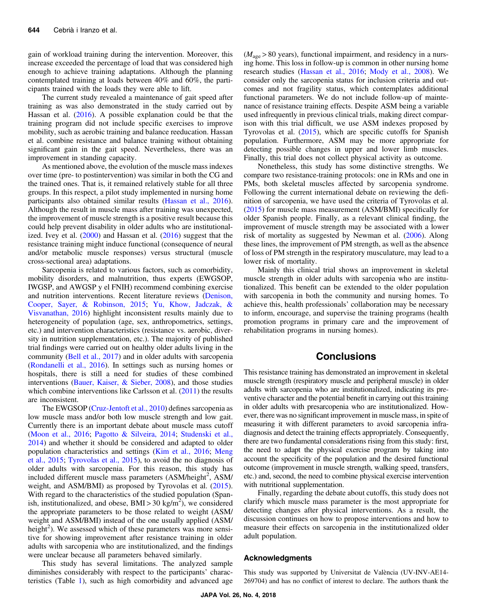gain of workload training during the intervention. Moreover, this increase exceeded the percentage of load that was considered high enough to achieve training adaptations. Although the planning contemplated training at loads between 40% and 60%, the participants trained with the loads they were able to lift.

The current study revealed a maintenance of gait speed after training as was also demonstrated in the study carried out by Hassan et al. ([2016\)](#page-8-0). A possible explanation could be that the training program did not include specific exercises to improve mobility, such as aerobic training and balance reeducation. Hassan et al. combine resistance and balance training without obtaining significant gain in the gait speed. Nevertheless, there was an improvement in standing capacity.

As mentioned above, the evolution of the muscle mass indexes over time (pre- to postintervention) was similar in both the CG and the trained ones. That is, it remained relatively stable for all three groups. In this respect, a pilot study implemented in nursing home participants also obtained similar results ([Hassan et al., 2016](#page-8-0)). Although the result in muscle mass after training was unexpected, the improvement of muscle strength is a positive result because this could help prevent disability in older adults who are institutionalized. Ivey et al. ([2000\)](#page-9-0) and Hassan et al. ([2016\)](#page-8-0) suggest that the resistance training might induce functional (consequence of neural and/or metabolic muscle responses) versus structural (muscle cross-sectional area) adaptations.

Sarcopenia is related to various factors, such as comorbidity, mobility disorders, and malnutrition, thus experts (EWGSOP, IWGSP, and AWGSP y el FNIH) recommend combining exercise and nutrition interventions. Recent literature reviews [\(Denison,](#page-8-0) [Cooper, Sayer, & Robinson, 2015](#page-8-0); [Yu, Khow, Jadczak, &](#page-9-0) [Visvanathan, 2016](#page-9-0)) highlight inconsistent results mainly due to heterogeneity of population (age, sex, anthropometrics, settings, etc.) and intervention characteristics (resistance vs. aerobic, diversity in nutrition supplementation, etc.). The majority of published trial findings were carried out on healthy older adults living in the community [\(Bell et al., 2017\)](#page-8-0) and in older adults with sarcopenia [\(Rondanelli et al., 2016\)](#page-9-0). In settings such as nursing homes or hospitals, there is still a need for studies of these combined interventions ([Bauer, Kaiser, & Sieber, 2008](#page-8-0)), and those studies which combine interventions like Carlsson et al. ([2011\)](#page-8-0) the results are inconsistent.

The EWGSOP [\(Cruz-Jentoft et al., 2010](#page-8-0)) defines sarcopenia as low muscle mass and/or both low muscle strength and low gait. Currently there is an important debate about muscle mass cutoff [\(Moon et al., 2016;](#page-9-0) [Pagotto & Silveira, 2014](#page-9-0); [Studenski et al.,](#page-9-0) [2014](#page-9-0)) and whether it should be considered and adapted to older population characteristics and settings [\(Kim et al., 2016;](#page-9-0) [Meng](#page-9-0) [et al., 2015;](#page-9-0) [Tyrovolas et al., 2015](#page-9-0)), to avoid the no diagnosis of older adults with sarcopenia. For this reason, this study has included different muscle mass parameters (ASM/height<sup>2</sup>, ASM/ weight, and ASM/BMI) as proposed by Tyrovolas et al. [\(2015](#page-9-0)). With regard to the characteristics of the studied population (Spanish, institutionalized, and obese, BMI > 30 kg/m<sup>2</sup>), we considered the appropriate parameters to be those related to weight (ASM/ weight and ASM/BMI) instead of the one usually applied (ASM/ height<sup>2</sup>). We assessed which of these parameters was more sensitive for showing improvement after resistance training in older adults with sarcopenia who are institutionalized, and the findings were unclear because all parameters behaved similarly.

This study has several limitations. The analyzed sample diminishes considerably with respect to the participants' characteristics (Table [1\)](#page-4-0), such as high comorbidity and advanced age

 $(M<sub>age</sub> > 80$  years), functional impairment, and residency in a nursing home. This loss in follow-up is common in other nursing home research studies ([Hassan et al., 2016;](#page-8-0) [Mody et al., 2008\)](#page-9-0). We consider only the sarcopenia status for inclusion criteria and outcomes and not fragility status, which contemplates additional functional parameters. We do not include follow-up of maintenance of resistance training effects. Despite ASM being a variable used infrequently in previous clinical trials, making direct comparison with this trial difficult, we use ASM indexes proposed by Tyrovolas et al. ([2015\)](#page-9-0), which are specific cutoffs for Spanish population. Furthermore, ASM may be more appropriate for detecting possible changes in upper and lower limb muscles. Finally, this trial does not collect physical activity as outcome.

Nonetheless, this study has some distinctive strengths. We compare two resistance-training protocols: one in RMs and one in PMs, both skeletal muscles affected by sarcopenia syndrome. Following the current international debate on reviewing the definition of sarcopenia, we have used the criteria of Tyrovolas et al. [\(2015](#page-9-0)) for muscle mass measurement (ASM/BMI) specifically for older Spanish people. Finally, as a relevant clinical finding, the improvement of muscle strength may be associated with a lower risk of mortality as suggested by Newman et al. [\(2006](#page-9-0)). Along these lines, the improvement of PM strength, as well as the absence of loss of PM strength in the respiratory musculature, may lead to a lower risk of mortality.

Mainly this clinical trial shows an improvement in skeletal muscle strength in older adults with sarcopenia who are institutionalized. This benefit can be extended to the older population with sarcopenia in both the community and nursing homes. To achieve this, health professionals' collaboration may be necessary to inform, encourage, and supervise the training programs (health promotion programs in primary care and the improvement of rehabilitation programs in nursing homes).

# **Conclusions**

This resistance training has demonstrated an improvement in skeletal muscle strength (respiratory muscle and peripheral muscle) in older adults with sarcopenia who are institutionalized, indicating its preventive character and the potential benefit in carrying out this training in older adults with presarcopenia who are institutionalized. However, there was no significant improvement in muscle mass, in spite of measuring it with different parameters to avoid sarcopenia infradiagnosis and detect the training effects appropriately. Consequently, there are two fundamental considerations rising from this study: first, the need to adapt the physical exercise program by taking into account the specificity of the population and the desired functional outcome (improvement in muscle strength, walking speed, transfers, etc.) and, second, the need to combine physical exercise intervention with nutritional supplementation.

Finally, regarding the debate about cutoffs, this study does not clarify which muscle mass parameter is the most appropriate for detecting changes after physical interventions. As a result, the discussion continues on how to propose interventions and how to measure their effects on sarcopenia in the institutionalized older adult population.

#### Acknowledgments

This study was supported by Universitat de València (UV-INV-AE14- 269704) and has no conflict of interest to declare. The authors thank the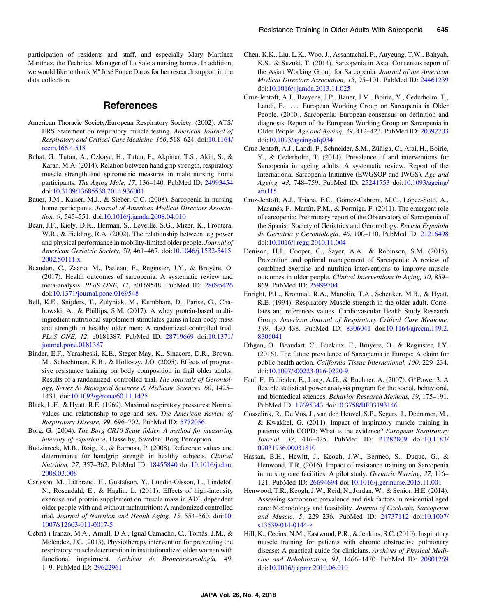<span id="page-8-0"></span>participation of residents and staff, and especially Mary Martínez Martínez, the Technical Manager of La Saleta nursing homes. In addition, we would like to thank  $M^a$  José Ponce Darós for her research support in the data collection.

#### References

- American Thoracic Society/European Respiratory Society. (2002). ATS/ ERS Statement on respiratory muscle testing. American Journal of Respiratory and Critical Care Medicine, 166, 518–624. doi[:10.1164/](https://doi.org/10.1164/rccm.166.4.518) [rccm.166.4.518](https://doi.org/10.1164/rccm.166.4.518)
- Bahat, G., Tufan, A., Ozkaya, H., Tufan, F., Akpinar, T.S., Akin, S., & Karan, M.A. (2014). Relation between hand grip strength, respiratory muscle strength and spirometric measures in male nursing home participants. The Aging Male, 17, 136–140. PubMed ID: [24993454](http://www.ncbi.nlm.nih.gov/pubmed/24993454?dopt=Abstract) doi:[10.3109/13685538.2014.936001](https://doi.org/10.3109/13685538.2014.936001)
- Bauer, J.M., Kaiser, M.J., & Sieber, C.C. (2008). Sarcopenia in nursing home participants. Journal of American Medical Directors Association, 9, 545–551. doi[:10.1016/j.jamda.2008.04.010](https://doi.org/10.1016/j.jamda.2008.04.010)
- Bean, J.F., Kiely, D.K., Herman, S., Leveille, S.G., Mizer, K., Frontera, W.R., & Fielding, R.A. (2002). The relationship between leg power and physical performance in mobility-limited older people. Journal of American Geriatric Society, 50, 461–467. doi:[10.1046/j.1532-5415.](https://doi.org/10.1046/j.1532-5415.2002.50111.x) [2002.50111.x](https://doi.org/10.1046/j.1532-5415.2002.50111.x)
- Beaudart, C., Zaaria, M., Pasleau, F., Reginster, J.Y., & Bruyère, O. (2017). Health outcomes of sarcopenia: A systematic review and meta-analysis. PLoS ONE, 12, e0169548. PubMed ID: [28095426](http://www.ncbi.nlm.nih.gov/pubmed/28095426?dopt=Abstract) doi:[10.1371/journal.pone.0169548](https://doi.org/10.1371/journal.pone.0169548)
- Bell, K.E., Snijders, T., Zulyniak, M., Kumbhare, D., Parise, G., Chabowski, A., & Phillips, S.M. (2017). A whey protein-based multiingredient nutritional supplement stimulates gains in lean body mass and strength in healthy older men: A randomized controlled trial. PLoS ONE, 12, e0181387. PubMed ID: [28719669](http://www.ncbi.nlm.nih.gov/pubmed/28719669?dopt=Abstract) doi[:10.1371/](https://doi.org/10.1371/journal.pone.0181387) [journal.pone.0181387](https://doi.org/10.1371/journal.pone.0181387)
- Binder, E.F., Yarasheski, K.E., Steger-May, K., Sinacore, D.R., Brown, M., Schechtman, K.B., & Holloszy, J.O. (2005). Effects of progressive resistance training on body composition in frail older adults: Results of a randomized, controlled trial. The Journals of Gerontology, Series A: Biological Sciences & Medicine Sciences, 60, 1425– 1431. doi[:10.1093/gerona/60.11.1425](https://doi.org/10.1093/gerona/60.11.1425)
- Black, L.F., & Hyatt, R.E. (1969). Maximal respiratory pressures: Normal values and relationship to age and sex. The American Review of Respiratory Disease, 99, 696–702. PubMed ID: [5772056](http://www.ncbi.nlm.nih.gov/pubmed/5772056?dopt=Abstract)
- Borg, G. (2004). The Borg CR10 Scale folder. A method for measuring intensity of experience. Hasselby, Sweden: Borg Perception.
- Budziareck, M.B., Roig, R., & Barbosa, P. (2008). Reference values and determinants for handgrip strength in healthy subjects. Clinical Nutrition, 27, 357–362. PubMed ID: [18455840](http://www.ncbi.nlm.nih.gov/pubmed/18455840?dopt=Abstract) doi[:10.1016/j.clnu.](https://doi.org/10.1016/j.clnu.2008.03.008) [2008.03.008](https://doi.org/10.1016/j.clnu.2008.03.008)
- Carlsson, M., Littbrand, H., Gustafson, Y., Lundin-Olsson, L., Lindelöf, N., Rosendahl, E., & Håglin, L. (2011). Effects of high-intensity exercise and protein supplement on muscle mass in ADL dependent older people with and without malnutrition: A randomized controlled trial. Journal of Nutrition and Health Aging, 15, 554-560. doi:[10.](https://doi.org/10.1007/s12603-011-0017-5) [1007/s12603-011-0017-5](https://doi.org/10.1007/s12603-011-0017-5)
- Cebrià i Iranzo, M.A., Arnall, D.A., Igual Camacho, C., Tomás, J.M., & Meléndez, J.C. (2013). Physiotherapy intervention for preventing the respiratory muscle deterioration in institutionalized older women with functional impairment. Archivos de Bronconeumología, 49, 1–9. PubMed ID: [29622961](http://www.ncbi.nlm.nih.gov/pubmed/29622961?dopt=Abstract)
- Chen, K.K., Liu, L.K., Woo, J., Assantachai, P., Auyeung, T.W., Bahyah, K.S., & Suzuki, T. (2014). Sarcopenia in Asia: Consensus report of the Asian Working Group for Sarcopenia. Journal of the American Medical Directors Association, 15, 95–101. PubMed ID: [24461239](http://www.ncbi.nlm.nih.gov/pubmed/24461239?dopt=Abstract) doi:[10.1016/j.jamda.2013.11.025](https://doi.org/10.1016/j.jamda.2013.11.025)
- Cruz-Jentoft, A.J., Baeyens, J.P., Bauer, J.M., Boirie, Y., Cederholm, T., Landi, F., ... European Working Group on Sarcopenia in Older People. (2010). Sarcopenia: European consensus on definition and diagnosis: Report of the European Working Group on Sarcopenia in Older People. Age and Ageing, 39, 412–423. PubMed ID: [20392703](http://www.ncbi.nlm.nih.gov/pubmed/20392703?dopt=Abstract) doi:[10.1093/ageing/afq034](https://doi.org/10.1093/ageing/afq034)
- Cruz-Jentoft, A.J., Landi, F., Schneider, S.M., Zúñiga, C., Arai, H., Boirie, Y., & Cederholm, T. (2014). Prevalence of and interventions for Sarcopenia in ageing adults: A systematic review. Report of the International Sarcopenia Initiative (EWGSOP and IWGS). Age and Ageing, 43, 748–759. PubMed ID: [25241753](http://www.ncbi.nlm.nih.gov/pubmed/25241753?dopt=Abstract) doi[:10.1093/ageing/](https://doi.org/10.1093/ageing/afu115) [afu115](https://doi.org/10.1093/ageing/afu115)
- Cruz-Jentoft, A.J., Triana, F.C., Gómez-Cabrera, M.C., López-Soto, A., Masanés, F., Martín, P.M., & Formiga, F. (2011). The emergent role of sarcopenia: Preliminary report of the Observatory of Sarcopenia of the Spanish Society of Geriatrics and Gerontology. Revista Española de Geriatría y Gerontología, 46, 100–110. PubMed ID: [21216498](http://www.ncbi.nlm.nih.gov/pubmed/21216498?dopt=Abstract) doi:[10.1016/j.regg.2010.11.004](https://doi.org/10.1016/j.regg.2010.11.004)
- Denison, H.J., Cooper, C., Sayer, A.A., & Robinson, S.M. (2015). Prevention and optimal management of Sarcopenia: A review of combined exercise and nutrition interventions to improve muscle outcomes in older people. Clinical Interventions in Aging, 10, 859– 869. PubMed ID: [25999704](http://www.ncbi.nlm.nih.gov/pubmed/25999704?dopt=Abstract)
- Enright, P.L., Kronmal, R.A., Manolio, T.A., Schenker, M.B., & Hyatt, R.E. (1994). Respiratory Muscle strength in the older adult. Correlates and references values. Cardiovascular Health Study Research Group. American Journal of Respiratory Critical Care Medicine, 149, 430–438. PubMed ID: [8306041](http://www.ncbi.nlm.nih.gov/pubmed/8306041?dopt=Abstract) doi:[10.1164/ajrccm.149.2.](https://doi.org/10.1164/ajrccm.149.2.8306041) [8306041](https://doi.org/10.1164/ajrccm.149.2.8306041)
- Ethgen, O., Beaudart, C., Buekinx, F., Bruyere, O., & Reginster, J.Y. (2016). The future prevalence of Sarcopenia in Europe: A claim for public health action. California Tissue International, 100, 229–234. doi:[10.1007/s00223-016-0220-9](https://doi.org/10.1007/s00223-016-0220-9)
- Faul, F., Erdfelder, E., Lang, A.G., & Buchner, A. (2007). G\*Power 3: A flexible statistical power analysis program for the social, behavioral, and biomedical sciences. Behavior Research Methods, 39, 175–191. PubMed ID: [17695343](http://www.ncbi.nlm.nih.gov/pubmed/17695343?dopt=Abstract) doi:[10.3758/BF03193146](https://doi.org/10.3758/BF03193146)
- Gosselink, R., De Vos, J., van den Heuvel, S.P., Segers, J., Decramer, M., & Kwakkel, G. (2011). Impact of inspiratory muscle training in patients with COPD: What is the evidence? European Respiratory Journal, 37, 416–425. PubMed ID: [21282809](http://www.ncbi.nlm.nih.gov/pubmed/21282809?dopt=Abstract) doi[:10.1183/](https://doi.org/10.1183/09031936.00031810) [09031936.00031810](https://doi.org/10.1183/09031936.00031810)
- Hassan, B.H., Hewitt, J., Keogh, J.W., Bermeo, S., Duque, G., & Henwood, T.R. (2016). Impact of resistance training on Sarcopenia in nursing care facilities. A pilot study. Geriatric Nursing, 37, 116– 121. PubMed ID: [26694694](http://www.ncbi.nlm.nih.gov/pubmed/26694694?dopt=Abstract) doi:[10.1016/j.gerinurse.2015.11.001](https://doi.org/10.1016/j.gerinurse.2015.11.001)
- Henwood, T.R., Keogh, J.W., Reid, N., Jordan, W., & Senior, H.E. (2014). Assessing sarcopenic prevalence and risk factors in residential aged care: Methodology and feasibility. Journal of Cachexia, Sarcopenia and Muscle, 5, 229–236. PubMed ID: [24737112](http://www.ncbi.nlm.nih.gov/pubmed/24737112?dopt=Abstract) doi[:10.1007/](https://doi.org/10.1007/s13539-014-0144-z) [s13539-014-0144-z](https://doi.org/10.1007/s13539-014-0144-z)
- Hill, K., Cecins, N.M., Eastwood, P.R., & Jenkins, S.C. (2010). Inspiratory muscle training for patients with chronic obstructive pulmonary disease: A practical guide for clinicians. Archives of Physical Medicine and Rehabilitation, 91, 1466–1470. PubMed ID: [20801269](http://www.ncbi.nlm.nih.gov/pubmed/20801269?dopt=Abstract) doi:[10.1016/j.apmr.2010.06.010](https://doi.org/10.1016/j.apmr.2010.06.010)